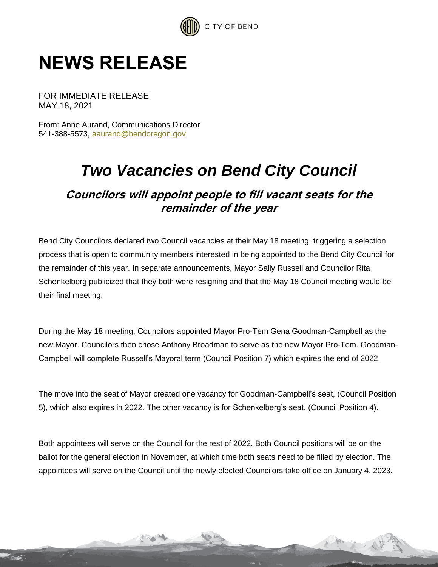

## **NEWS RELEASE**

FOR IMMEDIATE RELEASE MAY 18, 2021

From: Anne Aurand, Communications Director 541-388-5573, [aaurand@bendoregon.gov](mailto:aaurand@bendoregon.gov)

## *Two Vacancies on Bend City Council*

**Councilors will appoint people to fill vacant seats for the remainder of the year**

Bend City Councilors declared two Council vacancies at their May 18 meeting, triggering a selection process that is open to community members interested in being appointed to the Bend City Council for the remainder of this year. In separate announcements, Mayor Sally Russell and Councilor Rita Schenkelberg publicized that they both were resigning and that the May 18 Council meeting would be their final meeting.

During the May 18 meeting, Councilors appointed Mayor Pro-Tem Gena Goodman-Campbell as the new Mayor. Councilors then chose Anthony Broadman to serve as the new Mayor Pro-Tem. Goodman-Campbell will complete Russell's Mayoral term (Council Position 7) which expires the end of 2022.

The move into the seat of Mayor created one vacancy for Goodman-Campbell's seat, (Council Position 5), which also expires in 2022. The other vacancy is for Schenkelberg's seat, (Council Position 4).

Both appointees will serve on the Council for the rest of 2022. Both Council positions will be on the ballot for the general election in November, at which time both seats need to be filled by election. The appointees will serve on the Council until the newly elected Councilors take office on January 4, 2023.